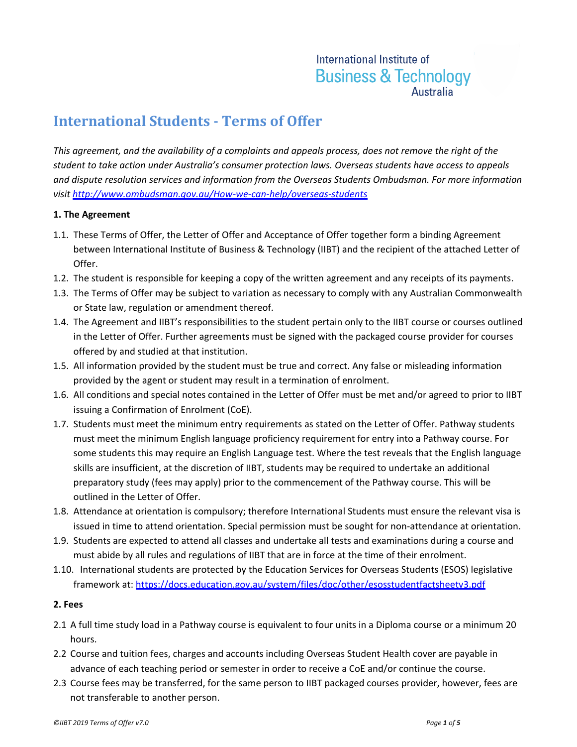# International Institute of **Business & Technology Australia**

# **International Students - Terms of Offer**

*This agreement, and the availability of a complaints and appeals process, does not remove the right of the student to take action under Australia's consumer protection laws. Overseas students have access to appeals and dispute resolution services and information from the Overseas Students Ombudsman. For more information visit<http://www.ombudsman.gov.au/How-we-can-help/overseas-students>*

## **1. The Agreement**

- 1.1. These Terms of Offer, the Letter of Offer and Acceptance of Offer together form a binding Agreement between International Institute of Business & Technology (IIBT) and the recipient of the attached Letter of Offer.
- 1.2. The student is responsible for keeping a copy of the written agreement and any receipts of its payments.
- 1.3. The Terms of Offer may be subject to variation as necessary to comply with any Australian Commonwealth or State law, regulation or amendment thereof.
- 1.4. The Agreement and IIBT's responsibilities to the student pertain only to the IIBT course or courses outlined in the Letter of Offer. Further agreements must be signed with the packaged course provider for courses offered by and studied at that institution.
- 1.5. All information provided by the student must be true and correct. Any false or misleading information provided by the agent or student may result in a termination of enrolment.
- 1.6. All conditions and special notes contained in the Letter of Offer must be met and/or agreed to prior to IIBT issuing a Confirmation of Enrolment (CoE).
- 1.7. Students must meet the minimum entry requirements as stated on the Letter of Offer. Pathway students must meet the minimum English language proficiency requirement for entry into a Pathway course. For some students this may require an English Language test. Where the test reveals that the English language skills are insufficient, at the discretion of IIBT, students may be required to undertake an additional preparatory study (fees may apply) prior to the commencement of the Pathway course. This will be outlined in the Letter of Offer.
- 1.8. Attendance at orientation is compulsory; therefore International Students must ensure the relevant visa is issued in time to attend orientation. Special permission must be sought for non-attendance at orientation.
- 1.9. Students are expected to attend all classes and undertake all tests and examinations during a course and must abide by all rules and regulations of IIBT that are in force at the time of their enrolment.
- 1.10. International students are protected by the Education Services for Overseas Students (ESOS) legislative framework at:<https://docs.education.gov.au/system/files/doc/other/esosstudentfactsheetv3.pdf>

## **2. Fees**

- 2.1 A full time study load in a Pathway course is equivalent to four units in a Diploma course or a minimum 20 hours.
- 2.2 Course and tuition fees, charges and accounts including Overseas Student Health cover are payable in advance of each teaching period or semester in order to receive a CoE and/or continue the course.
- 2.3 Course fees may be transferred, for the same person to IIBT packaged courses provider, however, fees are not transferable to another person.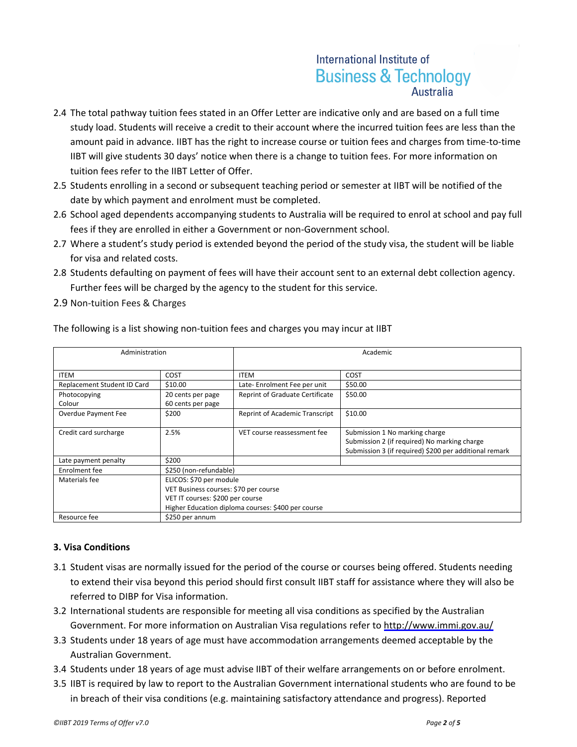# International Institute of **Business & Technology**

- 2.4 The total pathway tuition fees stated in an Offer Letter are indicative only and are based on a full time study load. Students will receive a credit to their account where the incurred tuition fees are less than the amount paid in advance. IIBT has the right to increase course or tuition fees and charges from time-to-time IIBT will give students 30 days' notice when there is a change to tuition fees. For more information on tuition fees refer to the IIBT Letter of Offer.
- 2.5 Students enrolling in a second or subsequent teaching period or semester at IIBT will be notified of the date by which payment and enrolment must be completed.
- 2.6 School aged dependents accompanying students to Australia will be required to enrol at school and pay full fees if they are enrolled in either a Government or non-Government school.
- 2.7 Where a student's study period is extended beyond the period of the study visa, the student will be liable for visa and related costs.
- 2.8 Students defaulting on payment of fees will have their account sent to an external debt collection agency. Further fees will be charged by the agency to the student for this service.
- 2.9 Non-tuition Fees & Charges

| Administration              |                                                    | Academic                        |                                                        |  |  |
|-----------------------------|----------------------------------------------------|---------------------------------|--------------------------------------------------------|--|--|
|                             |                                                    |                                 |                                                        |  |  |
| <b>ITEM</b>                 | COST                                               | <b>ITEM</b>                     | COST                                                   |  |  |
| Replacement Student ID Card | \$10.00                                            | Late-Enrolment Fee per unit     | \$50.00                                                |  |  |
| Photocopying                | 20 cents per page                                  | Reprint of Graduate Certificate | \$50.00                                                |  |  |
| Colour                      | 60 cents per page                                  |                                 |                                                        |  |  |
| Overdue Payment Fee         | \$200                                              | Reprint of Academic Transcript  | \$10.00                                                |  |  |
|                             |                                                    |                                 |                                                        |  |  |
| Credit card surcharge       | 2.5%                                               | VET course reassessment fee     | Submission 1 No marking charge                         |  |  |
|                             |                                                    |                                 | Submission 2 (if required) No marking charge           |  |  |
|                             |                                                    |                                 | Submission 3 (if required) \$200 per additional remark |  |  |
| Late payment penalty        | \$200                                              |                                 |                                                        |  |  |
| Enrolment fee               | \$250 (non-refundable)                             |                                 |                                                        |  |  |
| Materials fee               | ELICOS: \$70 per module                            |                                 |                                                        |  |  |
|                             | VET Business courses: \$70 per course              |                                 |                                                        |  |  |
|                             | VET IT courses: \$200 per course                   |                                 |                                                        |  |  |
|                             | Higher Education diploma courses: \$400 per course |                                 |                                                        |  |  |
| Resource fee                | \$250 per annum                                    |                                 |                                                        |  |  |

The following is a list showing non-tuition fees and charges you may incur at IIBT

# **3. Visa Conditions**

- 3.1 Student visas are normally issued for the period of the course or courses being offered. Students needing to extend their visa beyond this period should first consult IIBT staff for assistance where they will also be referred to DIBP for Visa information.
- 3.2 International students are responsible for meeting all visa conditions as specified by the Australian Government. For more information on Australian Visa regulations refer to<http://www.immi.gov.au/>
- 3.3 Students under 18 years of age must have accommodation arrangements deemed acceptable by the Australian Government.
- 3.4 Students under 18 years of age must advise IIBT of their welfare arrangements on or before enrolment.
- 3.5 IIBT is required by law to report to the Australian Government international students who are found to be in breach of their visa conditions (e.g. maintaining satisfactory attendance and progress). Reported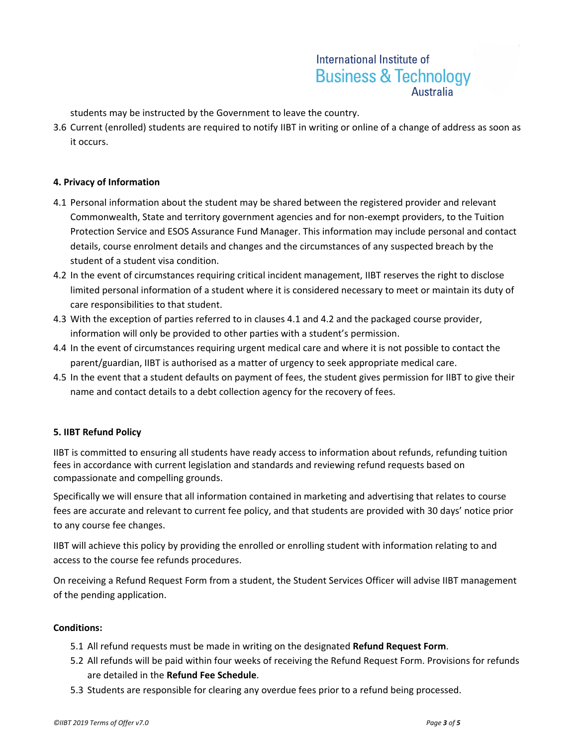# International Institute of **Business & Technology Australia**

students may be instructed by the Government to leave the country.

3.6 Current (enrolled) students are required to notify IIBT in writing or online of a change of address as soon as it occurs.

## **4. Privacy of Information**

- 4.1 Personal information about the student may be shared between the registered provider and relevant Commonwealth, State and territory government agencies and for non-exempt providers, to the Tuition Protection Service and ESOS Assurance Fund Manager. This information may include personal and contact details, course enrolment details and changes and the circumstances of any suspected breach by the student of a student visa condition.
- 4.2 In the event of circumstances requiring critical incident management, IIBT reserves the right to disclose limited personal information of a student where it is considered necessary to meet or maintain its duty of care responsibilities to that student.
- 4.3 With the exception of parties referred to in clauses 4.1 and 4.2 and the packaged course provider, information will only be provided to other parties with a student's permission.
- 4.4 In the event of circumstances requiring urgent medical care and where it is not possible to contact the parent/guardian, IIBT is authorised as a matter of urgency to seek appropriate medical care.
- 4.5 In the event that a student defaults on payment of fees, the student gives permission for IIBT to give their name and contact details to a debt collection agency for the recovery of fees.

## **5. IIBT Refund Policy**

IIBT is committed to ensuring all students have ready access to information about refunds, refunding tuition fees in accordance with current legislation and standards and reviewing refund requests based on compassionate and compelling grounds.

Specifically we will ensure that all information contained in marketing and advertising that relates to course fees are accurate and relevant to current fee policy, and that students are provided with 30 days' notice prior to any course fee changes.

IIBT will achieve this policy by providing the enrolled or enrolling student with information relating to and access to the course fee refunds procedures.

On receiving a Refund Request Form from a student, the Student Services Officer will advise IIBT management of the pending application.

#### **Conditions:**

- 5.1 All refund requests must be made in writing on the designated **Refund Request Form**.
- 5.2 All refunds will be paid within four weeks of receiving the Refund Request Form. Provisions for refunds are detailed in the **Refund Fee Schedule**.
- 5.3 Students are responsible for clearing any overdue fees prior to a refund being processed.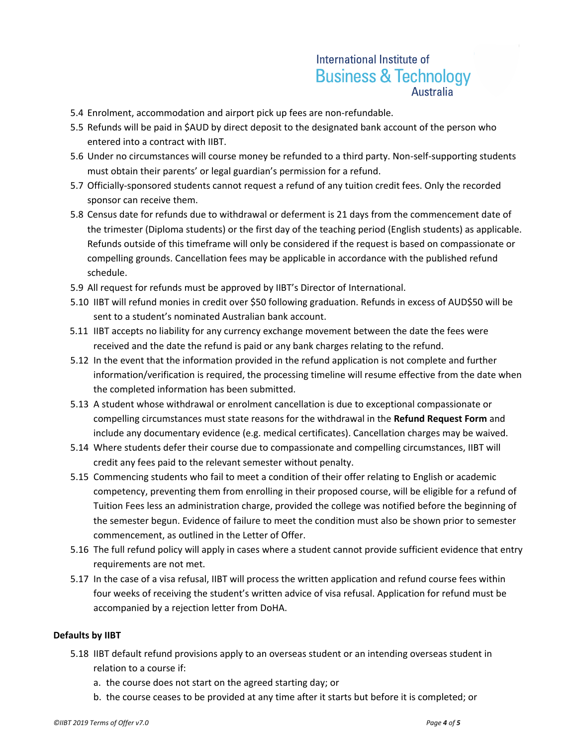# International Institute of **Business & Technology Australia**

- 5.4 Enrolment, accommodation and airport pick up fees are non-refundable.
- 5.5 Refunds will be paid in \$AUD by direct deposit to the designated bank account of the person who entered into a contract with IIBT.
- 5.6 Under no circumstances will course money be refunded to a third party. Non-self-supporting students must obtain their parents' or legal guardian's permission for a refund.
- 5.7 Officially-sponsored students cannot request a refund of any tuition credit fees. Only the recorded sponsor can receive them.
- 5.8 Census date for refunds due to withdrawal or deferment is 21 days from the commencement date of the trimester (Diploma students) or the first day of the teaching period (English students) as applicable. Refunds outside of this timeframe will only be considered if the request is based on compassionate or compelling grounds. Cancellation fees may be applicable in accordance with the published refund schedule.
- 5.9 All request for refunds must be approved by IIBT's Director of International.
- 5.10 IIBT will refund monies in credit over \$50 following graduation. Refunds in excess of AUD\$50 will be sent to a student's nominated Australian bank account.
- 5.11 IIBT accepts no liability for any currency exchange movement between the date the fees were received and the date the refund is paid or any bank charges relating to the refund.
- 5.12 In the event that the information provided in the refund application is not complete and further information/verification is required, the processing timeline will resume effective from the date when the completed information has been submitted.
- 5.13 A student whose withdrawal or enrolment cancellation is due to exceptional compassionate or compelling circumstances must state reasons for the withdrawal in the **Refund Request Form** and include any documentary evidence (e.g. medical certificates). Cancellation charges may be waived.
- 5.14 Where students defer their course due to compassionate and compelling circumstances, IIBT will credit any fees paid to the relevant semester without penalty.
- 5.15 Commencing students who fail to meet a condition of their offer relating to English or academic competency, preventing them from enrolling in their proposed course, will be eligible for a refund of Tuition Fees less an administration charge, provided the college was notified before the beginning of the semester begun. Evidence of failure to meet the condition must also be shown prior to semester commencement, as outlined in the Letter of Offer.
- 5.16 The full refund policy will apply in cases where a student cannot provide sufficient evidence that entry requirements are not met.
- 5.17 In the case of a visa refusal, IIBT will process the written application and refund course fees within four weeks of receiving the student's written advice of visa refusal. Application for refund must be accompanied by a rejection letter from DoHA.

## **Defaults by IIBT**

- 5.18 IIBT default refund provisions apply to an overseas student or an intending overseas student in relation to a course if:
	- a. the course does not start on the agreed starting day; or
	- b. the course ceases to be provided at any time after it starts but before it is completed; or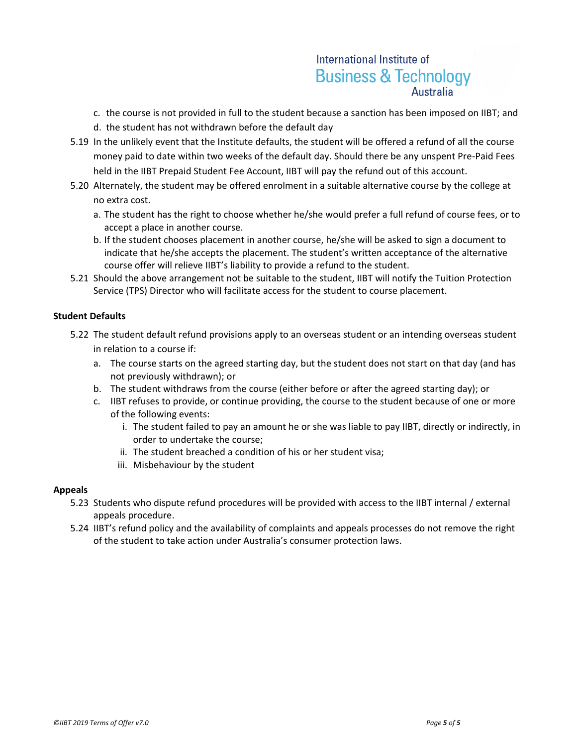# International Institute of **Business & Technology**

- c. the course is not provided in full to the student because a sanction has been imposed on IIBT; and
- d. the student has not withdrawn before the default day
- 5.19 In the unlikely event that the Institute defaults, the student will be offered a refund of all the course money paid to date within two weeks of the default day. Should there be any unspent Pre-Paid Fees held in the IIBT Prepaid Student Fee Account, IIBT will pay the refund out of this account.
- 5.20 Alternately, the student may be offered enrolment in a suitable alternative course by the college at no extra cost.
	- a. The student has the right to choose whether he/she would prefer a full refund of course fees, or to accept a place in another course.
	- b. If the student chooses placement in another course, he/she will be asked to sign a document to indicate that he/she accepts the placement. The student's written acceptance of the alternative course offer will relieve IIBT's liability to provide a refund to the student.
- 5.21 Should the above arrangement not be suitable to the student, IIBT will notify the Tuition Protection Service (TPS) Director who will facilitate access for the student to course placement.

## **Student Defaults**

- 5.22 The student default refund provisions apply to an overseas student or an intending overseas student in relation to a course if:
	- a. The course starts on the agreed starting day, but the student does not start on that day (and has not previously withdrawn); or
	- b. The student withdraws from the course (either before or after the agreed starting day); or
	- c. IIBT refuses to provide, or continue providing, the course to the student because of one or more of the following events:
		- i. The student failed to pay an amount he or she was liable to pay IIBT, directly or indirectly, in order to undertake the course;
		- ii. The student breached a condition of his or her student visa;
		- iii. Misbehaviour by the student

## **Appeals**

- 5.23 Students who dispute refund procedures will be provided with access to the IIBT internal / external appeals procedure.
- 5.24 IIBT's refund policy and the availability of complaints and appeals processes do not remove the right of the student to take action under Australia's consumer protection laws.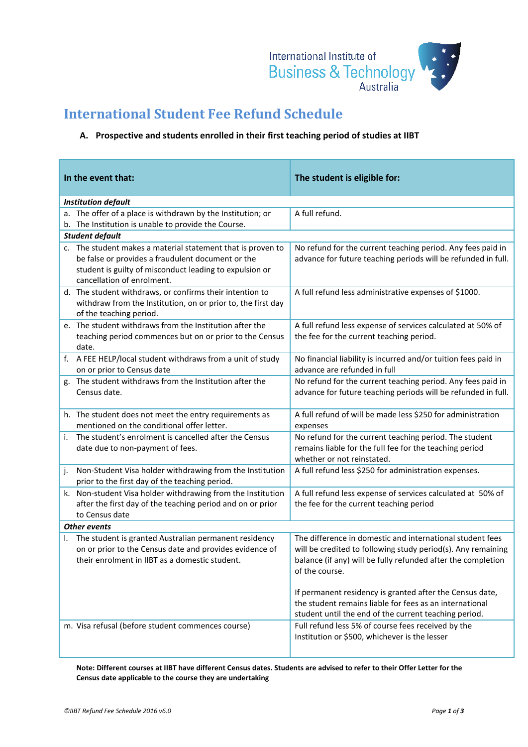

# **International Student Fee Refund Schedule**

# **A. Prospective and students enrolled in their first teaching period of studies at IIBT**

| In the event that:                                                                                                                                                                                        | The student is eligible for:                                                                                                                                                                                |  |  |  |
|-----------------------------------------------------------------------------------------------------------------------------------------------------------------------------------------------------------|-------------------------------------------------------------------------------------------------------------------------------------------------------------------------------------------------------------|--|--|--|
| <b>Institution default</b>                                                                                                                                                                                |                                                                                                                                                                                                             |  |  |  |
| a. The offer of a place is withdrawn by the Institution; or<br>b. The Institution is unable to provide the Course.                                                                                        | A full refund.                                                                                                                                                                                              |  |  |  |
| <b>Student default</b>                                                                                                                                                                                    |                                                                                                                                                                                                             |  |  |  |
| c. The student makes a material statement that is proven to<br>be false or provides a fraudulent document or the<br>student is guilty of misconduct leading to expulsion or<br>cancellation of enrolment. | No refund for the current teaching period. Any fees paid in<br>advance for future teaching periods will be refunded in full.                                                                                |  |  |  |
| d. The student withdraws, or confirms their intention to<br>withdraw from the Institution, on or prior to, the first day<br>of the teaching period.                                                       | A full refund less administrative expenses of \$1000.                                                                                                                                                       |  |  |  |
| e. The student withdraws from the Institution after the<br>teaching period commences but on or prior to the Census<br>date.                                                                               | A full refund less expense of services calculated at 50% of<br>the fee for the current teaching period.                                                                                                     |  |  |  |
| f. A FEE HELP/local student withdraws from a unit of study<br>on or prior to Census date                                                                                                                  | No financial liability is incurred and/or tuition fees paid in<br>advance are refunded in full                                                                                                              |  |  |  |
| g. The student withdraws from the Institution after the<br>Census date.                                                                                                                                   | No refund for the current teaching period. Any fees paid in<br>advance for future teaching periods will be refunded in full.                                                                                |  |  |  |
| h. The student does not meet the entry requirements as<br>mentioned on the conditional offer letter.                                                                                                      | A full refund of will be made less \$250 for administration<br>expenses                                                                                                                                     |  |  |  |
| The student's enrolment is cancelled after the Census<br>i.<br>date due to non-payment of fees.                                                                                                           | No refund for the current teaching period. The student<br>remains liable for the full fee for the teaching period<br>whether or not reinstated.                                                             |  |  |  |
| Non-Student Visa holder withdrawing from the Institution<br>j.<br>prior to the first day of the teaching period.                                                                                          | A full refund less \$250 for administration expenses.                                                                                                                                                       |  |  |  |
| k. Non-student Visa holder withdrawing from the Institution<br>after the first day of the teaching period and on or prior<br>to Census date                                                               | A full refund less expense of services calculated at 50% of<br>the fee for the current teaching period                                                                                                      |  |  |  |
| <b>Other events</b>                                                                                                                                                                                       |                                                                                                                                                                                                             |  |  |  |
| The student is granted Australian permanent residency<br>Ι.<br>on or prior to the Census date and provides evidence of<br>their enrolment in IIBT as a domestic student.                                  | The difference in domestic and international student fees<br>will be credited to following study period(s). Any remaining<br>balance (if any) will be fully refunded after the completion<br>of the course. |  |  |  |
|                                                                                                                                                                                                           | If permanent residency is granted after the Census date,<br>the student remains liable for fees as an international<br>student until the end of the current teaching period.                                |  |  |  |
| m. Visa refusal (before student commences course)                                                                                                                                                         | Full refund less 5% of course fees received by the<br>Institution or \$500, whichever is the lesser                                                                                                         |  |  |  |

**Note: Different courses at IIBT have different Census dates. Students are advised to refer to their Offer Letter for the Census date applicable to the course they are undertaking**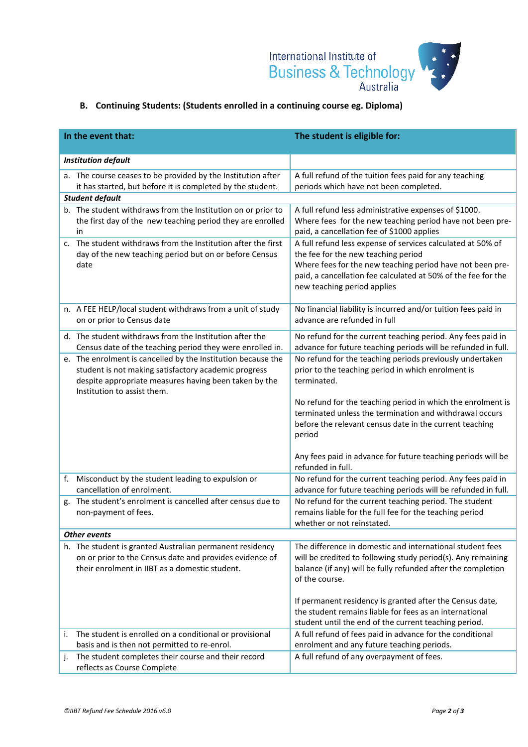

# **B. Continuing Students: (Students enrolled in a continuing course eg. Diploma)**

|                     | In the event that:                                                                                                                                                                                           | The student is eligible for:                                                                                                                                                                                                                                                                                                 |  |  |
|---------------------|--------------------------------------------------------------------------------------------------------------------------------------------------------------------------------------------------------------|------------------------------------------------------------------------------------------------------------------------------------------------------------------------------------------------------------------------------------------------------------------------------------------------------------------------------|--|--|
|                     | <b>Institution default</b>                                                                                                                                                                                   |                                                                                                                                                                                                                                                                                                                              |  |  |
|                     | a. The course ceases to be provided by the Institution after<br>it has started, but before it is completed by the student.                                                                                   | A full refund of the tuition fees paid for any teaching<br>periods which have not been completed.                                                                                                                                                                                                                            |  |  |
|                     | <b>Student default</b>                                                                                                                                                                                       |                                                                                                                                                                                                                                                                                                                              |  |  |
|                     | b. The student withdraws from the Institution on or prior to<br>the first day of the new teaching period they are enrolled<br>in                                                                             | A full refund less administrative expenses of \$1000.<br>Where fees for the new teaching period have not been pre-<br>paid, a cancellation fee of \$1000 applies                                                                                                                                                             |  |  |
|                     | c. The student withdraws from the Institution after the first<br>day of the new teaching period but on or before Census<br>date                                                                              | A full refund less expense of services calculated at 50% of<br>the fee for the new teaching period<br>Where fees for the new teaching period have not been pre-<br>paid, a cancellation fee calculated at 50% of the fee for the<br>new teaching period applies                                                              |  |  |
|                     | n. A FEE HELP/local student withdraws from a unit of study<br>on or prior to Census date                                                                                                                     | No financial liability is incurred and/or tuition fees paid in<br>advance are refunded in full                                                                                                                                                                                                                               |  |  |
|                     | d. The student withdraws from the Institution after the<br>Census date of the teaching period they were enrolled in.                                                                                         | No refund for the current teaching period. Any fees paid in<br>advance for future teaching periods will be refunded in full.                                                                                                                                                                                                 |  |  |
|                     | e. The enrolment is cancelled by the Institution because the<br>student is not making satisfactory academic progress<br>despite appropriate measures having been taken by the<br>Institution to assist them. | No refund for the teaching periods previously undertaken<br>prior to the teaching period in which enrolment is<br>terminated.<br>No refund for the teaching period in which the enrolment is<br>terminated unless the termination and withdrawal occurs<br>before the relevant census date in the current teaching<br>period |  |  |
|                     |                                                                                                                                                                                                              | Any fees paid in advance for future teaching periods will be<br>refunded in full.<br>No refund for the current teaching period. Any fees paid in                                                                                                                                                                             |  |  |
| f.                  | Misconduct by the student leading to expulsion or<br>cancellation of enrolment.                                                                                                                              | advance for future teaching periods will be refunded in full.                                                                                                                                                                                                                                                                |  |  |
| g.                  | The student's enrolment is cancelled after census due to<br>non-payment of fees.                                                                                                                             | No refund for the current teaching period. The student<br>remains liable for the full fee for the teaching period<br>whether or not reinstated.                                                                                                                                                                              |  |  |
| <b>Other events</b> |                                                                                                                                                                                                              |                                                                                                                                                                                                                                                                                                                              |  |  |
|                     | h. The student is granted Australian permanent residency<br>on or prior to the Census date and provides evidence of<br>their enrolment in IIBT as a domestic student.                                        | The difference in domestic and international student fees<br>will be credited to following study period(s). Any remaining<br>balance (if any) will be fully refunded after the completion<br>of the course.                                                                                                                  |  |  |
|                     |                                                                                                                                                                                                              | If permanent residency is granted after the Census date,<br>the student remains liable for fees as an international<br>student until the end of the current teaching period.                                                                                                                                                 |  |  |
| i.                  | The student is enrolled on a conditional or provisional<br>basis and is then not permitted to re-enrol.                                                                                                      | A full refund of fees paid in advance for the conditional<br>enrolment and any future teaching periods.                                                                                                                                                                                                                      |  |  |
| j.                  | The student completes their course and their record<br>reflects as Course Complete                                                                                                                           | A full refund of any overpayment of fees.                                                                                                                                                                                                                                                                                    |  |  |